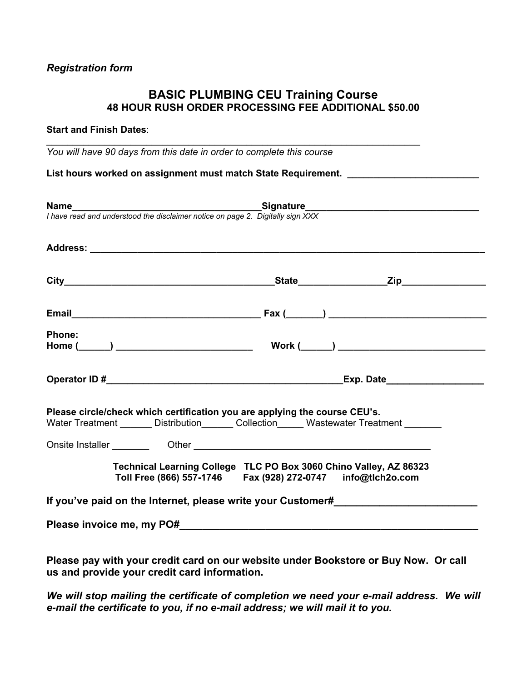## **BASIC PLUMBING CEU Training Course 48 HOUR RUSH ORDER PROCESSING FEE ADDITIONAL \$50.00**

 $\mathcal{L}_\text{max}$  and  $\mathcal{L}_\text{max}$  and  $\mathcal{L}_\text{max}$  and  $\mathcal{L}_\text{max}$  and  $\mathcal{L}_\text{max}$  and  $\mathcal{L}_\text{max}$ 

#### **Start and Finish Dates**:

*You will have 90 days from this date in order to complete this course* 

List hours worked on assignment must match State Requirement. **Letter Letter State Reguirement** 

|               | <b>Name</b><br>I have read and understood the disclaimer notice on page 2. Digitally sign XXX                                                                           |
|---------------|-------------------------------------------------------------------------------------------------------------------------------------------------------------------------|
|               |                                                                                                                                                                         |
|               |                                                                                                                                                                         |
|               |                                                                                                                                                                         |
|               |                                                                                                                                                                         |
| <b>Phone:</b> | Work $(\_\_)$                                                                                                                                                           |
|               |                                                                                                                                                                         |
|               | Please circle/check which certification you are applying the course CEU's.<br>Water Treatment _______ Distribution ______ Collection _____ Wastewater Treatment _______ |
|               |                                                                                                                                                                         |
|               | Technical Learning College TLC PO Box 3060 Chino Valley, AZ 86323<br>Toll Free (866) 557-1746    Fax (928) 272-0747    info@tlch2o.com                                  |
|               | If you've paid on the Internet, please write your Customer#                                                                                                             |
|               |                                                                                                                                                                         |

**Please pay with your credit card on our website under Bookstore or Buy Now. Or call us and provide your credit card information.** 

*We will stop mailing the certificate of completion we need your e-mail address. We will e-mail the certificate to you, if no e-mail address; we will mail it to you.*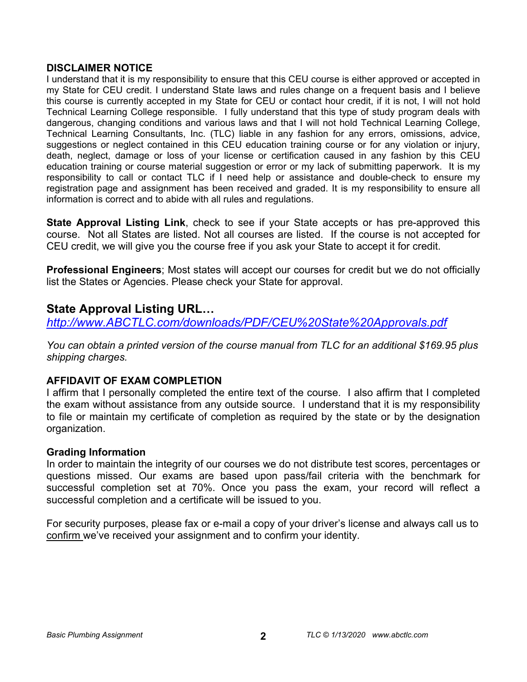## **DISCLAIMER NOTICE**

I understand that it is my responsibility to ensure that this CEU course is either approved or accepted in my State for CEU credit. I understand State laws and rules change on a frequent basis and I believe this course is currently accepted in my State for CEU or contact hour credit, if it is not, I will not hold Technical Learning College responsible. I fully understand that this type of study program deals with dangerous, changing conditions and various laws and that I will not hold Technical Learning College, Technical Learning Consultants, Inc. (TLC) liable in any fashion for any errors, omissions, advice, suggestions or neglect contained in this CEU education training course or for any violation or injury, death, neglect, damage or loss of your license or certification caused in any fashion by this CEU education training or course material suggestion or error or my lack of submitting paperwork. It is my responsibility to call or contact TLC if I need help or assistance and double-check to ensure my registration page and assignment has been received and graded. It is my responsibility to ensure all information is correct and to abide with all rules and regulations.

**State Approval Listing Link**, check to see if your State accepts or has pre-approved this course. Not all States are listed. Not all courses are listed. If the course is not accepted for CEU credit, we will give you the course free if you ask your State to accept it for credit.

**Professional Engineers**; Most states will accept our courses for credit but we do not officially list the States or Agencies. Please check your State for approval.

## **State Approval Listing URL…**

*<http://www.ABCTLC.com/downloads/PDF/CEU%20State%20Approvals.pdf>*

*You can obtain a printed version of the course manual from TLC for an additional \$169.95 plus shipping charges.* 

## **AFFIDAVIT OF EXAM COMPLETION**

I affirm that I personally completed the entire text of the course. I also affirm that I completed the exam without assistance from any outside source. I understand that it is my responsibility to file or maintain my certificate of completion as required by the state or by the designation organization.

## **Grading Information**

In order to maintain the integrity of our courses we do not distribute test scores, percentages or questions missed. Our exams are based upon pass/fail criteria with the benchmark for successful completion set at 70%. Once you pass the exam, your record will reflect a successful completion and a certificate will be issued to you.

For security purposes, please fax or e-mail a copy of your driver's license and always call us to confirm we've received your assignment and to confirm your identity.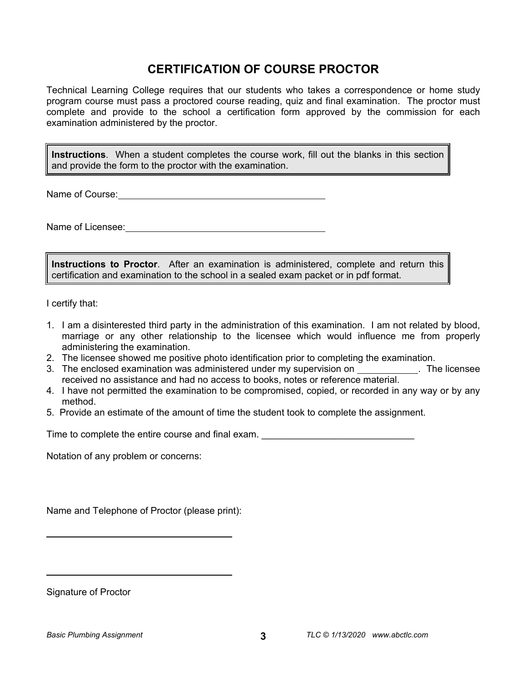# **CERTIFICATION OF COURSE PROCTOR**

Technical Learning College requires that our students who takes a correspondence or home study program course must pass a proctored course reading, quiz and final examination. The proctor must complete and provide to the school a certification form approved by the commission for each examination administered by the proctor.

**Instructions**. When a student completes the course work, fill out the blanks in this section and provide the form to the proctor with the examination.

Name of Course: **Name of Course:** 

Name of Licensee: **Name of Licensee:**  $\blacksquare$ 

**Instructions to Proctor**. After an examination is administered, complete and return this certification and examination to the school in a sealed exam packet or in pdf format.

I certify that:

- 1. I am a disinterested third party in the administration of this examination. I am not related by blood, marriage or any other relationship to the licensee which would influence me from properly administering the examination.
- 2. The licensee showed me positive photo identification prior to completing the examination.
- 3. The enclosed examination was administered under my supervision on \_\_\_\_\_\_\_\_\_\_\_\_. The licensee received no assistance and had no access to books, notes or reference material.
- 4. I have not permitted the examination to be compromised, copied, or recorded in any way or by any method.
- 5. Provide an estimate of the amount of time the student took to complete the assignment.

Time to complete the entire course and final exam. **Example 20** and the state of the state of the state of the sta

Notation of any problem or concerns:

Name and Telephone of Proctor (please print):

Signature of Proctor

 $\overline{a}$ 

 $\overline{a}$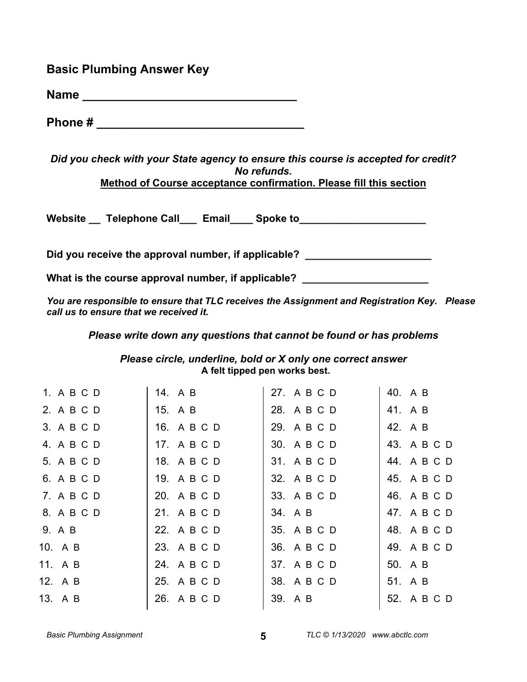## **Basic Plumbing Answer Key**

**Name \_\_\_\_\_\_\_\_\_\_\_\_\_\_\_\_\_\_\_\_\_\_\_\_\_\_\_\_\_\_\_\_** 

**Phone #**  $\blacksquare$ 

*Did you check with your State agency to ensure this course is accepted for credit? No refunds.*  **Method of Course acceptance confirmation. Please fill this section** 

Website Telephone Call Email Spoke to

Did you receive the approval number, if applicable? \_\_\_\_\_\_\_\_\_\_\_\_\_\_\_\_\_\_\_\_\_\_\_\_\_\_\_\_

What is the course approval number, if applicable? **What is the course approval number, if applicable?** 

*You are responsible to ensure that TLC receives the Assignment and Registration Key. Please call us to ensure that we received it.* 

*Please write down any questions that cannot be found or has problems* 

*Please circle, underline, bold or X only one correct answer* **A felt tipped pen works best.** 

| 1. A B C D | 14. A B     | 27. A B C D | 40. A B     |
|------------|-------------|-------------|-------------|
| 2. A B C D | 15. A B     | 28. A B C D | 41. A B     |
| 3. A B C D | 16. A B C D | 29. A B C D | 42. A B     |
| 4. A B C D | 17. A B C D | 30. A B C D | 43. A B C D |
| 5. A B C D | 18. A B C D | 31. A B C D | 44. A B C D |
| 6. A B C D | 19. A B C D | 32. A B C D | 45. A B C D |
| 7. A B C D | 20. A B C D | 33. A B C D | 46. A B C D |
| 8. A B C D | 21. A B C D | 34. A B     | 47. A B C D |
| 9. A B     | 22. A B C D | 35. A B C D | 48. A B C D |
| 10. A B    | 23. A B C D | 36. A B C D | 49. A B C D |
| 11. A B    | 24. A B C D | 37. A B C D | 50. A B     |
| 12. A B    | 25. A B C D | 38. A B C D | 51. A B     |
| 13. A B    | 26. A B C D | 39. A B     | 52. A B C D |
|            |             |             |             |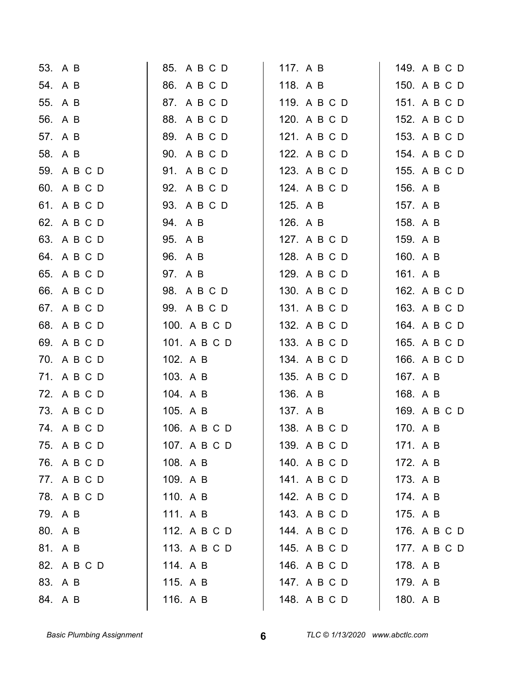| 53. A B     | 85. A B C D  | 117. A B     | 149. A B C D |
|-------------|--------------|--------------|--------------|
| 54. A B     | 86. A B C D  | 118. A B     | 150. A B C D |
| 55. A B     | 87. A B C D  | 119. A B C D | 151. A B C D |
| 56. A B     | 88. A B C D  | 120. A B C D | 152. A B C D |
| 57. A B     | 89. A B C D  | 121. A B C D | 153. A B C D |
| 58. A B     | 90. A B C D  | 122. A B C D | 154. A B C D |
| 59. A B C D | 91. A B C D  | 123. A B C D | 155. A B C D |
| 60. A B C D | 92. A B C D  | 124. A B C D | 156. A B     |
| 61. A B C D | 93. A B C D  | 125. A B     | 157. A B     |
| 62. A B C D | 94. A B      | 126. A B     | 158. A B     |
| 63. A B C D | 95. A B      | 127. A B C D | 159. A B     |
| 64. A B C D | 96. A B      | 128. A B C D | 160. A B     |
| 65. A B C D | 97. A B      | 129. A B C D | 161. A B     |
| 66. A B C D | 98. A B C D  | 130. A B C D | 162. A B C D |
| 67. A B C D | 99. A B C D  | 131. A B C D | 163. A B C D |
| 68. A B C D | 100. A B C D | 132. A B C D | 164. A B C D |
| 69. A B C D | 101. A B C D | 133. A B C D | 165. A B C D |
| 70. A B C D | 102. A B     | 134. A B C D | 166. A B C D |
| 71. A B C D | 103. A B     | 135. A B C D | 167. A B     |
| 72. A B C D | 104. A B     | 136. A B     | 168. A B     |
| 73. A B C D | 105. A B     | 137. A B     | 169. A B C D |
| 74. A B C D | 106. A B C D | 138. A B C D | 170. A B     |
| 75. A B C D | 107. A B C D | 139. A B C D | 171. A B     |
| 76. A B C D | 108. A B     | 140. A B C D | 172. A B     |
| 77. A B C D | 109. A B     | 141. A B C D | 173. A B     |
| 78. A B C D | 110. A B     | 142. A B C D | 174. A B     |
| 79. A B     | 111. A B     | 143. A B C D | 175. A B     |
| 80. A B     | 112. A B C D | 144. A B C D | 176. A B C D |
| 81. A B     | 113. A B C D | 145. A B C D | 177. A B C D |
| 82. A B C D | 114. A B     | 146. A B C D | 178. A B     |
| 83. A B     | 115. A B     | 147. A B C D | 179. A B     |
| 84. A B     | 116. A B     | 148. A B C D | 180. A B     |
|             |              |              |              |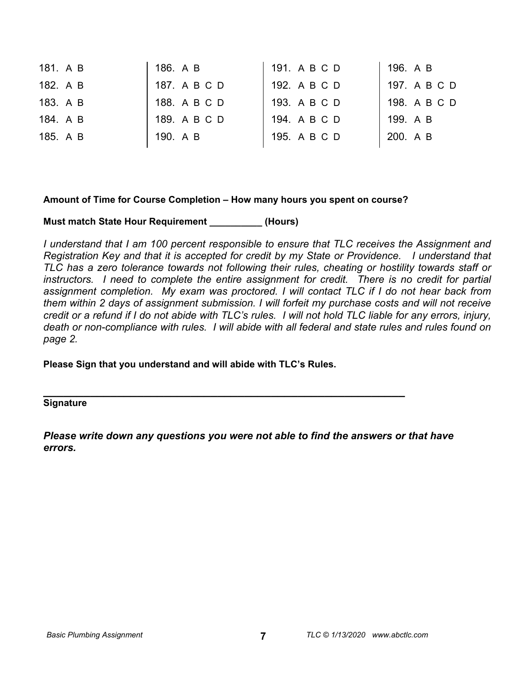| 181. A B | 186. A B     | 191. A B C D | 196. A B     |
|----------|--------------|--------------|--------------|
| 182. A B | 187. A B C D | 192. A B C D | 197. A B C D |
| 183. A B | 188. A B C D | 193. A B C D | 198. A B C D |
| 184. A B | 189. A B C D | 194. A B C D | 199. A B     |
| 185. A B | 190. A B     | 195. A B C D | 200. A B     |
|          |              |              |              |

#### **Amount of Time for Course Completion – How many hours you spent on course?**

#### **Must match State Hour Requirement \_\_\_\_\_\_\_\_\_\_ (Hours)**

*I understand that I am 100 percent responsible to ensure that TLC receives the Assignment and Registration Key and that it is accepted for credit by my State or Providence. I understand that TLC has a zero tolerance towards not following their rules, cheating or hostility towards staff or*  instructors. I need to complete the entire assignment for credit. There is no credit for partial *assignment completion. My exam was proctored. I will contact TLC if I do not hear back from them within 2 days of assignment submission. I will forfeit my purchase costs and will not receive credit or a refund if I do not abide with TLC's rules. I will not hold TLC liable for any errors, injury, death or non-compliance with rules. I will abide with all federal and state rules and rules found on page 2.* 

**Please Sign that you understand and will abide with TLC's Rules.** 

**\_\_\_\_\_\_\_\_\_\_\_\_\_\_\_\_\_\_\_\_\_\_\_\_\_\_\_\_\_\_\_\_\_\_\_\_\_\_\_\_\_\_\_\_\_\_\_\_\_\_\_\_\_\_ Signature** 

*Please write down any questions you were not able to find the answers or that have errors.*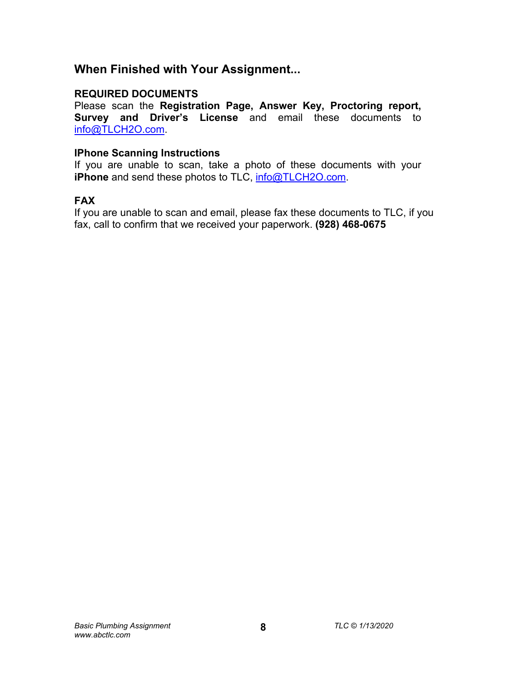# **When Finished with Your Assignment...**

## **REQUIRED DOCUMENTS**

Please scan the **Registration Page, Answer Key, Proctoring report, Survey and Driver's License** and email these documents to [info@TLCH2O.com.](mailto:info@TLCH2O.com) 

## **IPhone Scanning Instructions**

If you are unable to scan, take a photo of these documents with your **iPhone** and send these photos to TLC,  $\frac{info@TLCH2O.com}{P}$ .

## **FAX**

If you are unable to scan and email, please fax these documents to TLC, if you fax, call to confirm that we received your paperwork. **(928) 468-0675**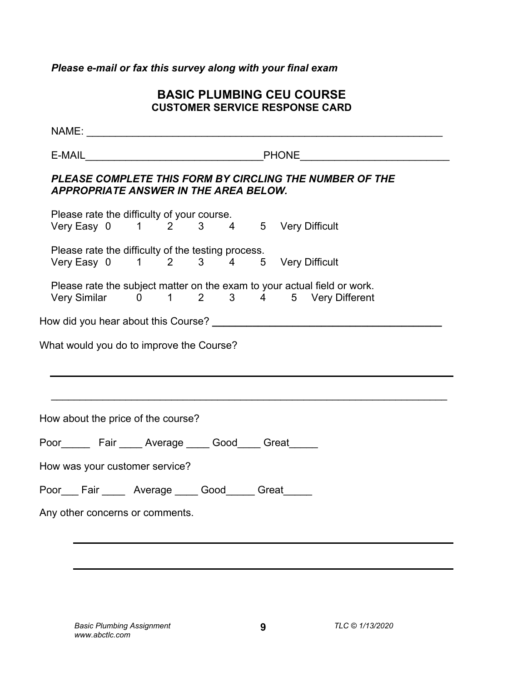# *Please e-mail or fax this survey along with your final exam*

## **BASIC PLUMBING CEU COURSE CUSTOMER SERVICE RESPONSE CARD**

| <b>APPROPRIATE ANSWER IN THE AREA BELOW.</b>                                               |  |  | PLEASE COMPLETE THIS FORM BY CIRCLING THE NUMBER OF THE                                                             |  |
|--------------------------------------------------------------------------------------------|--|--|---------------------------------------------------------------------------------------------------------------------|--|
| Please rate the difficulty of your course.<br>Very Easy 0 1 2 3 4 5 Very Difficult         |  |  |                                                                                                                     |  |
| Please rate the difficulty of the testing process.<br>Very Easy 0 1 2 3 4 5 Very Difficult |  |  |                                                                                                                     |  |
|                                                                                            |  |  | Please rate the subject matter on the exam to your actual field or work.<br>Very Similar 0 1 2 3 4 5 Very Different |  |
|                                                                                            |  |  |                                                                                                                     |  |
| What would you do to improve the Course?                                                   |  |  |                                                                                                                     |  |
|                                                                                            |  |  |                                                                                                                     |  |
|                                                                                            |  |  |                                                                                                                     |  |
| How about the price of the course?                                                         |  |  |                                                                                                                     |  |
| Poor Fair Average Good Great                                                               |  |  |                                                                                                                     |  |
| How was your customer service?                                                             |  |  |                                                                                                                     |  |
| Poor___Fair _____ Average ____ Good_____ Great_____                                        |  |  |                                                                                                                     |  |
| Any other concerns or comments.                                                            |  |  |                                                                                                                     |  |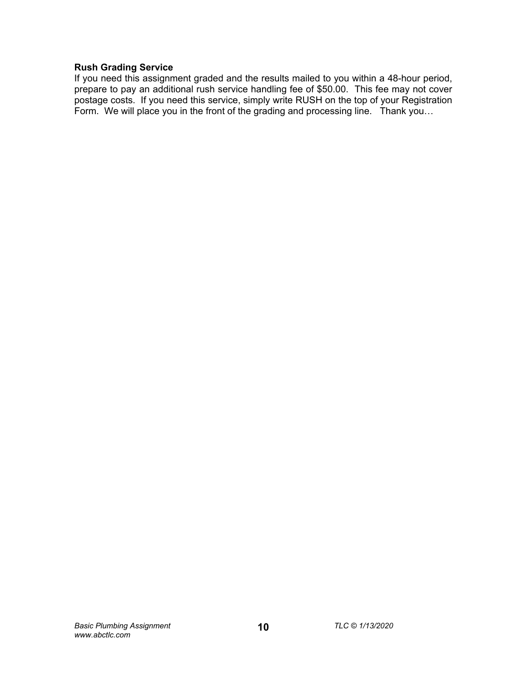## **Rush Grading Service**

If you need this assignment graded and the results mailed to you within a 48-hour period, prepare to pay an additional rush service handling fee of \$50.00. This fee may not cover postage costs. If you need this service, simply write RUSH on the top of your Registration Form. We will place you in the front of the grading and processing line. Thank you...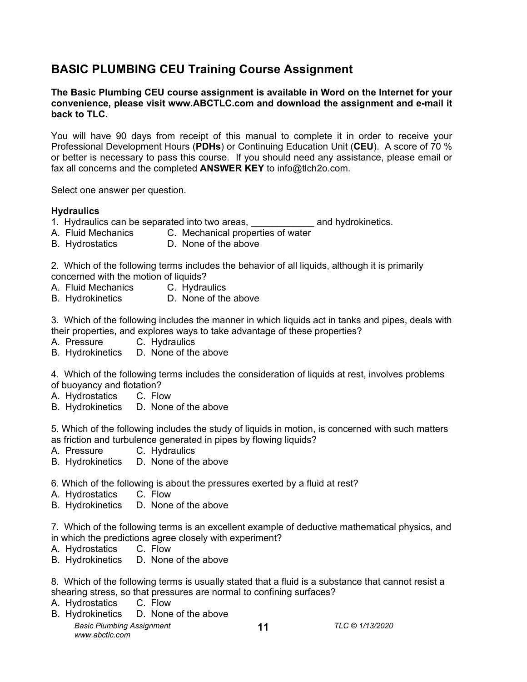# **BASIC PLUMBING CEU Training Course Assignment**

## **The Basic Plumbing CEU course assignment is available in Word on the Internet for your convenience, please visit [www.ABCTLC.com an](http://www.ABCTLC.com)d download the assignment and e-mail it back to TLC.**

You will have 90 days from receipt of this manual to complete it in order to receive your Professional Development Hours (**PDHs**) or Continuing Education Unit (**CEU**). A score of 70 % or better is necessary to pass this course. If you should need any assistance, please email or fax all concerns and the completed **ANSWER KEY** to [info@tlch2o.com.](mailto:info@tlch2o.com) 

Select one answer per question.

## **Hydraulics**

- 1. Hydraulics can be separated into two areas, <u>encomen and hydrokinetics</u>.
- A. Fluid Mechanics C. Mechanical properties of water
- B. Hydrostatics D. None of the above

2. Which of the following terms includes the behavior of all liquids, although it is primarily concerned with the motion of liquids?

- A. Fluid Mechanics C. Hydraulics
- B. Hydrokinetics D. None of the above

3. Which of the following includes the manner in which liquids act in tanks and pipes, deals with their properties, and explores ways to take advantage of these properties?

- A. Pressure C. Hydraulics
- B. Hydrokinetics D. None of the above

4. Which of the following terms includes the consideration of liquids at rest, involves problems of buoyancy and flotation?

- A. Hydrostatics C. Flow
- B. Hydrokinetics D. None of the above

5. Which of the following includes the study of liquids in motion, is concerned with such matters as friction and turbulence generated in pipes by flowing liquids?

- A. Pressure C. Hydraulics
- B. Hydrokinetics D. None of the above
- 6. Which of the following is about the pressures exerted by a fluid at rest?
- A. Hydrostatics C. Flow
- B. Hydrokinetics D. None of the above

7. Which of the following terms is an excellent example of deductive mathematical physics, and in which the predictions agree closely with experiment?

- A. Hydrostatics C. Flow
- B. Hydrokinetics D. None of the above

8. Which of the following terms is usually stated that a fluid is a substance that cannot resist a shearing stress, so that pressures are normal to confining surfaces?

**11**

- A. Hydrostatics C. Flow
- *Basic Plumbing Assignment TLC © 1/13/2020 [www.abctlc.com](http://www.abctlc.com)*  B. Hydrokinetics D. None of the above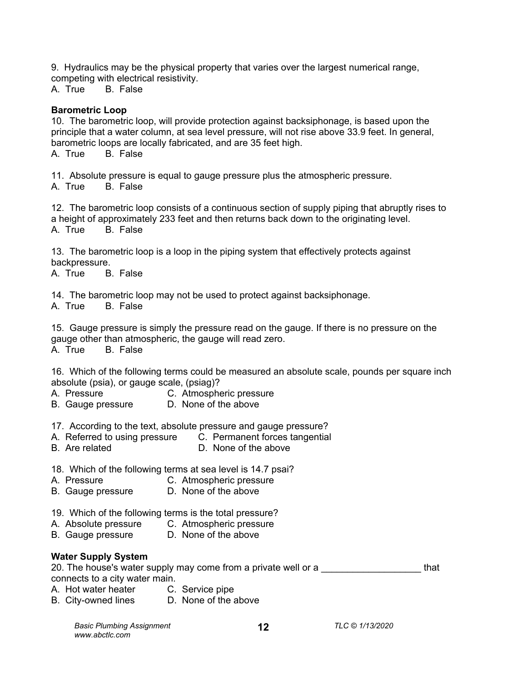9. Hydraulics may be the physical property that varies over the largest numerical range, competing with electrical resistivity.

A. True B. False

## **Barometric Loop**

10. The barometric loop, will provide protection against backsiphonage, is based upon the principle that a water column, at sea level pressure, will not rise above 33.9 feet. In general, barometric loops are locally fabricated, and are 35 feet high. A. True B. False

11. Absolute pressure is equal to gauge pressure plus the atmospheric pressure.

A. True B. False

12. The barometric loop consists of a continuous section of supply piping that abruptly rises to a height of approximately 233 feet and then returns back down to the originating level. A. True B. False

13. The barometric loop is a loop in the piping system that effectively protects against backpressure.

A. True B. False

14. The barometric loop may not be used to protect against backsiphonage.

A. True B. False

15. Gauge pressure is simply the pressure read on the gauge. If there is no pressure on the gauge other than atmospheric, the gauge will read zero.

A. True B. False

16. Which of the following terms could be measured an absolute scale, pounds per square inch absolute (psia), or gauge scale, (psiag)?

- A. Pressure **C. Atmospheric pressure**
- B. Gauge pressure D. None of the above
- 17. According to the text, absolute pressure and gauge pressure?
- A. Referred to using pressure C. Permanent forces tangential
- B. Are related D. None of the above
- 18. Which of the following terms at sea level is 14.7 psai?
- A. Pressure C. Atmospheric pressure
- B. Gauge pressure D. None of the above
- 19. Which of the following terms is the total pressure?
- A. Absolute pressure C. Atmospheric pressure
- B. Gauge pressure D. None of the above

## **Water Supply System**

20. The house's water supply may come from a private well or a **The State of that** connects to a city water main.

- A. Hot water heater C. Service pipe
- B. City-owned lines D. None of the above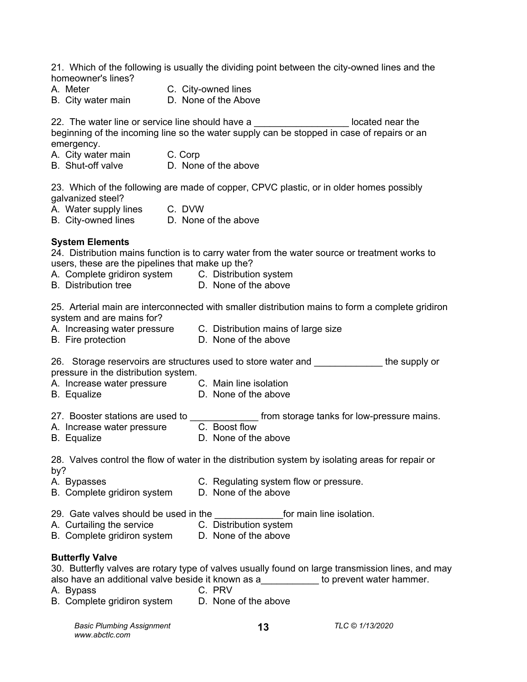21. Which of the following is usually the dividing point between the city-owned lines and the homeowner's lines?

- A. Meter **C. City-owned lines**<br>B. City water main **C. None of the Above**
- B. City water main
- 
- 

22. The water line or service line should have a \_\_\_\_\_\_\_\_\_\_\_\_\_\_\_\_\_\_\_\_\_\_ located near the beginning of the incoming line so the water supply can be stopped in case of repairs or an emergency.

- A. City water main C. Corp
- B. Shut-off valve **D.** None of the above

23. Which of the following are made of copper, CPVC plastic, or in older homes possibly galvanized steel?

- A. Water supply lines C. DVW
- B. City-owned lines D. None of the above

## **System Elements**

24. Distribution mains function is to carry water from the water source or treatment works to users, these are the pipelines that make up the?

- A. Complete gridiron system C. Distribution system
- B. Distribution tree D. None of the above

25. Arterial main are interconnected with smaller distribution mains to form a complete gridiron system and are mains for?

- A. Increasing water pressure C. Distribution mains of large size
- B. Fire protection D. None of the above
- 26. Storage reservoirs are structures used to store water and **the supply or** pressure in the distribution system.
- A. Increase water pressure C. Main line isolation
- B. Equalize **D.** None of the above
- 27. Booster stations are used to  $\frac{1}{2}$  from storage tanks for low-pressure mains.<br>A. Increase water pressure  $\frac{1}{2}$  C. Boost flow
- A. Increase water pressure C. Boost flow
- B. Equalize **D.** None of the above

28. Valves control the flow of water in the distribution system by isolating areas for repair or by?

- A. Bypasses **C. Regulating system flow or pressure.**
- B. Complete gridiron system<br>B. Complete gridiron system<br>D. None of the above
- 29. Gate valves should be used in the **the solution** for main line isolation.
- A. Curtailing the service C. Distribution system
	-
- B. Complete gridiron system D. None of the above

#### **Butterfly Valve**

30. Butterfly valves are rotary type of valves usually found on large transmission lines, and may also have an additional valve beside it known as a\_\_\_\_\_\_\_\_\_\_\_ to prevent water hammer.

- A. Bypass C. PRV
- 
- B. Complete gridiron system D. None of the above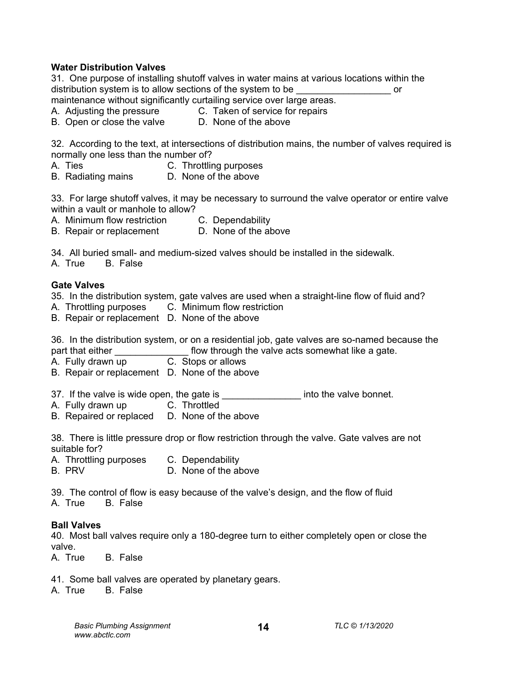#### **Water Distribution Valves**

31. One purpose of installing shutoff valves in water mains at various locations within the distribution system is to allow sections of the system to be  $\qquad \qquad \text{or}$ maintenance without significantly curtailing service over large areas.

A. Adjusting the pressure C. Taken of service for repairs

B. Open or close the valve D. None of the above

32. According to the text, at intersections of distribution mains, the number of valves required is normally one less than the number of?

A. Ties C. Throttling purposes<br>B. Radiating mains B. None of the above

B. Radiating mains

33. For large shutoff valves, it may be necessary to surround the valve operator or entire valve within a vault or manhole to allow?

A. Minimum flow restriction C. Dependability

B. Repair or replacement D. None of the above

34. All buried small- and medium-sized valves should be installed in the sidewalk.

A. True B. False

#### **Gate Valves**

35. In the distribution system, gate valves are used when a straight-line flow of fluid and?

A. Throttling purposes C. Minimum flow restriction

B. Repair or replacement D. None of the above

36. In the distribution system, or on a residential job, gate valves are so-named because the part that either **the contract of the valve acts somewhat like a gate.** 

A. Fully drawn up C. Stops or allows

B. Repair or replacement D. None of the above

37. If the valve is wide open, the gate is \_\_\_\_\_\_\_\_\_\_\_\_\_\_\_\_\_ into the valve bonnet.

- A. Fully drawn up C. Throttled
- B. Repaired or replaced D. None of the above

38. There is little pressure drop or flow restriction through the valve. Gate valves are not suitable for?

A. Throttling purposes C. Dependability

B. PRV D. None of the above

39. The control of flow is easy because of the valve's design, and the flow of fluid A. True B. False

#### **Ball Valves**

40. Most ball valves require only a 180-degree turn to either completely open or close the valve.

A. True B. False

41. Some ball valves are operated by planetary gears.

A. True B. False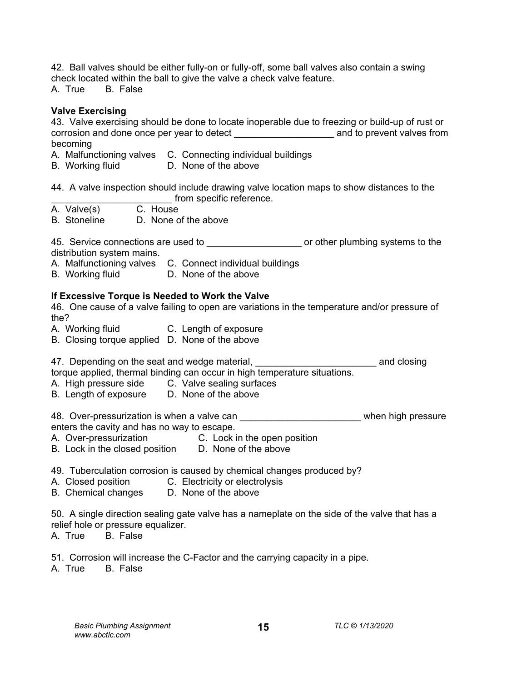42. Ball valves should be either fully-on or fully-off, some ball valves also contain a swing check located within the ball to give the valve a check valve feature.

A. True B. False

## **Valve Exercising**

43. Valve exercising should be done to locate inoperable due to freezing or build-up of rust or corrosion and done once per year to detect \_\_\_\_\_\_\_\_\_\_\_\_\_\_\_\_\_\_\_ and to prevent valves from becoming

- A. Malfunctioning valves C. Connecting individual buildings
- B. Working fluid D. None of the above

44. A valve inspection should include drawing valve location maps to show distances to the from specific reference.

- A. Valve(s) C. House
- B. Stoneline D. None of the above

45. Service connections are used to **All and Service connections** are used to the service or other plumbing systems to the distribution system mains.

A. Malfunctioning valves C. Connect individual buildings

B. Working fluid D. None of the above

## **If Excessive Torque is Needed to Work the Valve**

46. One cause of a valve failing to open are variations in the temperature and/or pressure of the?

- A. Working fluid C. Length of exposure
- B. Closing torque applied D. None of the above

47. Depending on the seat and wedge material, \_\_\_\_\_\_\_\_\_\_\_\_\_\_\_\_\_\_\_\_\_\_\_\_\_\_\_\_\_\_\_\_\_\_ and closing torque applied, thermal binding can occur in high temperature situations.

- A. High pressure side C. Valve sealing surfaces
- B. Length of exposure D. None of the above

48. Over-pressurization is when a valve can example that when high pressure enters the cavity and has no way to escape.

- A. Over-pressurization C. Lock in the open position
- B. Lock in the closed position D. None of the above
- 49. Tuberculation corrosion is caused by chemical changes produced by?
- A. Closed position C. Electricity or electrolysis
- B. Chemical changes D. None of the above

50. A single direction sealing gate valve has a nameplate on the side of the valve that has a relief hole or pressure equalizer.

**15**

A. True B. False

51. Corrosion will increase the C-Factor and the carrying capacity in a pipe.

A. True B. False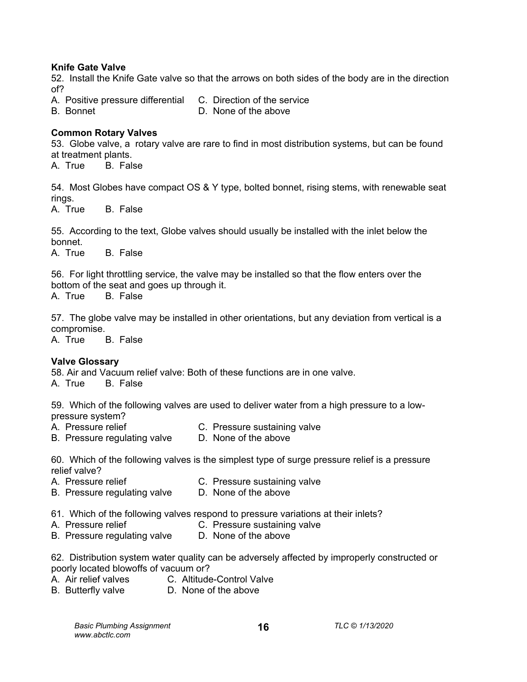## **Knife Gate Valve**

52. Install the Knife Gate valve so that the arrows on both sides of the body are in the direction of?

- A. Positive pressure differential C. Direction of the service
- B. Bonnet D. None of the above
- 

## **Common Rotary Valves**

53. Globe valve, a rotary valve are rare to find in most distribution systems, but can be found at treatment plants.

A. True B. False

54. Most Globes have compact OS & Y type, bolted bonnet, rising stems, with renewable seat rings.<br>A. True

B. False

55. According to the text, Globe valves should usually be installed with the inlet below the bonnet.

A. True B. False

56. For light throttling service, the valve may be installed so that the flow enters over the bottom of the seat and goes up through it.

A. True B. False

57. The globe valve may be installed in other orientations, but any deviation from vertical is a compromise.

A. True B. False

## **Valve Glossary**

58. Air and Vacuum relief valve: Both of these functions are in one valve.

A. True B. False

59. Which of the following valves are used to deliver water from a high pressure to a lowpressure system?<br>A. Pressure relief

- 
- C. Pressure sustaining valve<br>D. None of the above
- B. Pressure regulating valve

60. Which of the following valves is the simplest type of surge pressure relief is a pressure relief valve?

- A. Pressure relief C. Pressure sustaining valve
- B. Pressure regulating valve D. None of the above
- 61. Which of the following valves respond to pressure variations at their inlets?
- A. Pressure relief C. Pressure sustaining valve
- B. Pressure regulating valve D. None of the above

62. Distribution system water quality can be adversely affected by improperly constructed or poorly located blowoffs of vacuum or?

- A. Air relief valves C. Altitude-Control Valve
- B. Butterfly valve **D.** None of the above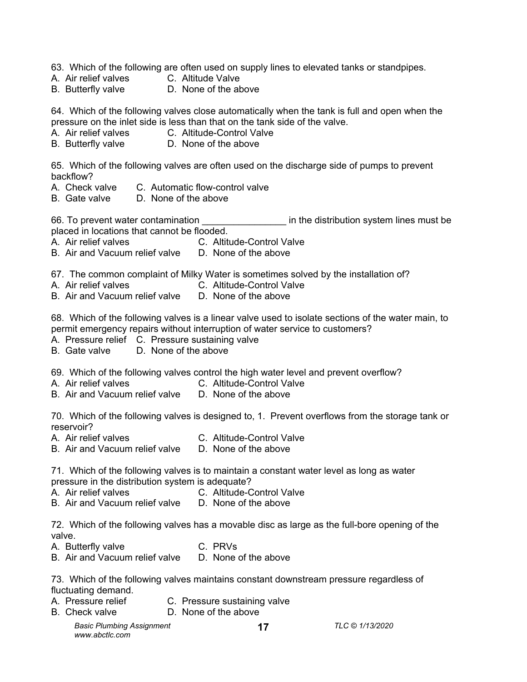63. Which of the following are often used on supply lines to elevated tanks or standpipes.

- A. Air relief valves C. Altitude Valve
- B. Butterfly valve **D.** None of the above

64. Which of the following valves close automatically when the tank is full and open when the pressure on the inlet side is less than that on the tank side of the valve.

- A. Air relief valves C. Altitude-Control Valve
- B. Butterfly valve **D.** None of the above

65. Which of the following valves are often used on the discharge side of pumps to prevent backflow?

- A. Check valve C. Automatic flow-control valve
- B. Gate valve D. None of the above

66. To prevent water contamination **Example 20** in the distribution system lines must be placed in locations that cannot be flooded.

- A. Air relief valves C. Altitude-Control Valve
- B. Air and Vacuum relief valve D. None of the above

67. The common complaint of Milky Water is sometimes solved by the installation of?

- A. Air relief valves C. Altitude-Control Valve
	-
- B. Air and Vacuum relief valve D. None of the above

68. Which of the following valves is a linear valve used to isolate sections of the water main, to permit emergency repairs without interruption of water service to customers?

- A. Pressure relief C. Pressure sustaining valve
- B. Gate valve D. None of the above

69. Which of the following valves control the high water level and prevent overflow?

- A. Air relief valves C. Altitude-Control Valve
- B. Air and Vacuum relief valve D. None of the above

70. Which of the following valves is designed to, 1. Prevent overflows from the storage tank or reservoir?

- A. Air relief valves C. Altitude-Control Valve
- B. Air and Vacuum relief valve D. None of the above

71. Which of the following valves is to maintain a constant water level as long as water pressure in the distribution system is adequate?

- A. Air relief valves C. Altitude-Control Valve
- B. Air and Vacuum relief valve D. None of the above

72. Which of the following valves has a movable disc as large as the full-bore opening of the valve.

- A. Butterfly valve C. PRVs
- B. Air and Vacuum relief valve D. None of the above

73. Which of the following valves maintains constant downstream pressure regardless of fluctuating demand.

- A. Pressure relief C. Pressure sustaining valve
- B. Check valve **D.** None of the above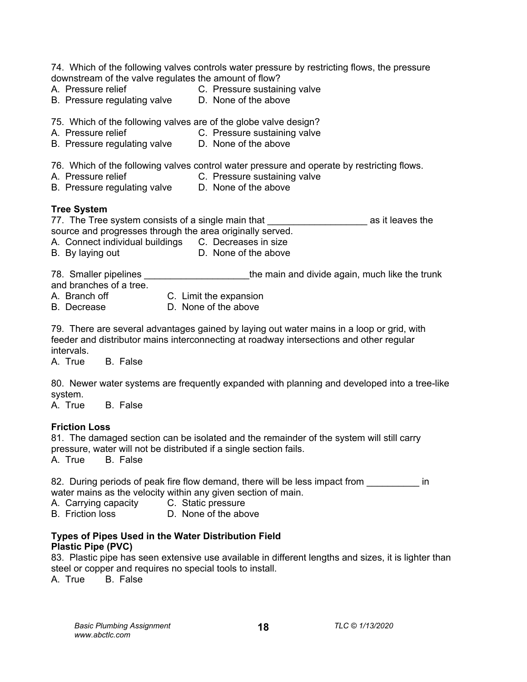| 74. Which of the following valves controls water pressure by restricting flows, the pressure<br>downstream of the valve regulates the amount of flow?<br>A. Pressure relief<br>C. Pressure sustaining valve<br>D. None of the above<br>B. Pressure regulating valve |
|---------------------------------------------------------------------------------------------------------------------------------------------------------------------------------------------------------------------------------------------------------------------|
| 75. Which of the following valves are of the globe valve design?<br>A. Pressure relief<br>C. Pressure sustaining valve<br>D. None of the above<br>B. Pressure regulating valve                                                                                      |
| 76. Which of the following valves control water pressure and operate by restricting flows.<br>A. Pressure relief<br>C. Pressure sustaining valve<br>D. None of the above<br>B. Pressure regulating valve                                                            |
| <b>Tree System</b><br>77. The Tree system consists of a single main that<br>as it leaves the<br>source and progresses through the area originally served.<br>A. Connect individual buildings C. Decreases in size<br>D. None of the above<br>B. By laying out       |
| 78. Smaller pipelines<br>the main and divide again, much like the trunk<br>and branches of a tree.<br>C. Limit the expansion<br>A. Branch off <b>A.</b> Branch of <b>A.</b> A. Branch of <b>A.</b><br>D. None of the above<br>B. Decrease                           |
| 79. There are several advantages gained by laying out water mains in a loop or grid, with<br>feeder and distributor mains interconnecting at roadway intersections and other regular<br>intervals.<br>A. True<br><b>B.</b> False                                    |
| 80. Newer water systems are frequently expanded with planning and developed into a tree-like<br>system.<br>A. True<br><b>B.</b> False                                                                                                                               |
| <b>Friction Loss</b>                                                                                                                                                                                                                                                |

81. The damaged section can be isolated and the remainder of the system will still carry pressure, water will not be distributed if a single section fails.

A. True B. False

82. During periods of peak fire flow demand, there will be less impact from **with the lest** in water mains as the velocity within any given section of main.

- A. Carrying capacity C. Static pressure<br>B. Friction loss B. None of the abo
- D. None of the above

## **Types of Pipes Used in the Water Distribution Field Plastic Pipe (PVC)**

83. Plastic pipe has seen extensive use available in different lengths and sizes, it is lighter than steel or copper and requires no special tools to install.<br>A. True B. False

B. False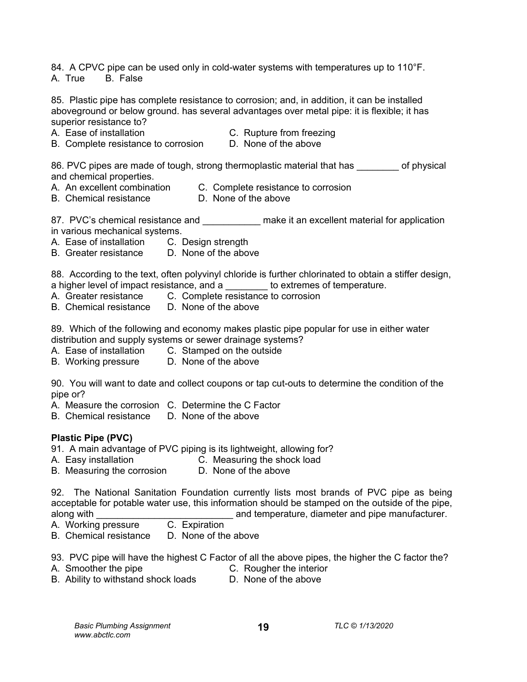84. A CPVC pipe can be used only in cold-water systems with temperatures up to 110°F. A. True B. False

85. Plastic pipe has complete resistance to corrosion; and, in addition, it can be installed aboveground or below ground. has several advantages over metal pipe: it is flexible; it has superior resistance to?

- 
- A. Ease of installation C. Rupture from freezing
- B. Complete resistance to corrosion D. None of the above

86. PVC pipes are made of tough, strong thermoplastic material that has of physical and chemical properties.<br>A. An excellent combination

- - C. Complete resistance to corrosion
- B. Chemical resistance D. None of the above

87. PVC's chemical resistance and \_\_\_\_\_\_\_\_\_\_\_\_ make it an excellent material for application in various mechanical systems.

- A. Ease of installation C. Design strength
- B. Greater resistance D. None of the above

88. According to the text, often polyvinyl chloride is further chlorinated to obtain a stiffer design, a higher level of impact resistance, and a subsequent to extremes of temperature.

- A. Greater resistance C. Complete resistance to corrosion
- B. Chemical resistance D. None of the above

89. Which of the following and economy makes plastic pipe popular for use in either water distribution and supply systems or sewer drainage systems?

- A. Ease of installation C. Stamped on the outside
- B. Working pressure D. None of the above

90. You will want to date and collect coupons or tap cut-outs to determine the condition of the pipe or?

- A. Measure the corrosion C. Determine the C Factor
- B. Chemical resistance D. None of the above

## **Plastic Pipe (PVC)**

91. A main advantage of PVC piping is its lightweight, allowing for?

- A. Easy installation C. Measuring the shock load
- B. Measuring the corrosion D. None of the above

92. The National Sanitation Foundation currently lists most brands of PVC pipe as being acceptable for potable water use, this information should be stamped on the outside of the pipe,<br>along with and temperature, diameter and pipe manufacturer. and temperature, diameter and pipe manufacturer.

- A. Working pressure C. Expiration
- B. Chemical resistance D. None of the above

93. PVC pipe will have the highest C Factor of all the above pipes, the higher the C factor the?

- A. Smoother the pipe **C. Rougher the interior** 
	-
- B. Ability to withstand shock loads D. None of the above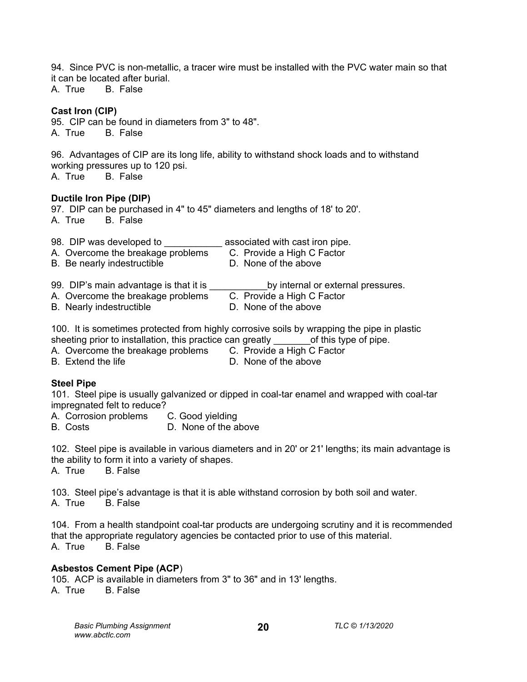94. Since PVC is non-metallic, a tracer wire must be installed with the PVC water main so that it can be located after burial.

A. True B. False

## **Cast Iron (CIP)**

95. CIP can be found in diameters from 3" to 48". A. True B. False

96. Advantages of CIP are its long life, ability to withstand shock loads and to withstand working pressures up to 120 psi.<br>A True B False

**B.** False

## **Ductile Iron Pipe (DIP)**

97. DIP can be purchased in 4" to 45" diameters and lengths of 18' to 20'. A. True B. False

98. DIP was developed to \_\_\_\_\_\_\_\_\_\_\_\_\_ associated with cast iron pipe.

A. Overcome the breakage problems C. Provide a High C Factor<br>B. Be nearly indestructible C. None of the above B. Be nearly indestructible

- 
- 99. DIP's main advantage is that it is \_\_\_\_\_\_\_\_\_\_\_\_\_by internal or external pressures.<br>A. Overcome the breakage problems C. Provide a High C Factor A. Overcome the breakage problems
- B. Nearly indestructible **D.** None of the above
	-

100. It is sometimes protected from highly corrosive soils by wrapping the pipe in plastic

- sheeting prior to installation, this practice can greatly  $\rule{1em}{0.15mm}$  of this type of pipe.<br>A. Overcome the breakage problems  $\rule{1.15mm}$  C. Provide a High C Factor A. Overcome the breakage problems
- 
- B. Extend the life **B.** Compared C. None of the above

## **Steel Pipe**

101. Steel pipe is usually galvanized or dipped in coal-tar enamel and wrapped with coal-tar impregnated felt to reduce?

A. Corrosion problems C. Good yielding<br>B. Costs C. D. None of the a

D. None of the above

102. Steel pipe is available in various diameters and in 20' or 21' lengths; its main advantage is the ability to form it into a variety of shapes.

A. True B. False

103. Steel pipe's advantage is that it is able withstand corrosion by both soil and water. A. True B. False

104. From a health standpoint coal-tar products are undergoing scrutiny and it is recommended that the appropriate regulatory agencies be contacted prior to use of this material. A. True B. False

## **Asbestos Cement Pipe (ACP**)

105. ACP is available in diameters from 3" to 36" and in 13' lengths. A. True B. False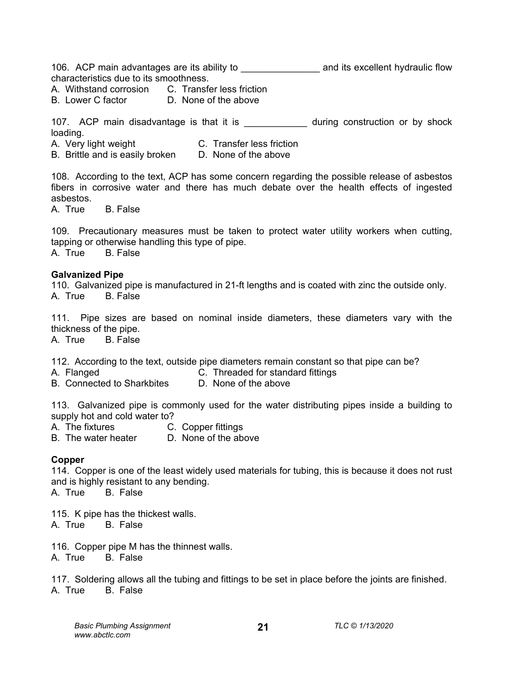106. ACP main advantages are its ability to \_\_\_\_\_\_\_\_\_\_\_\_\_\_\_ and its excellent hydraulic flow characteristics due to its smoothness.

A. Withstand corrosion C. Transfer less friction

B. Lower C factor **D. None of the above** 

107. ACP main disadvantage is that it is \_\_\_\_\_\_\_\_\_\_\_\_\_ during construction or by shock loading.

A. Very light weight C. Transfer less friction

B. Brittle and is easily broken D. None of the above

108. According to the text, ACP has some concern regarding the possible release of asbestos fibers in corrosive water and there has much debate over the health effects of ingested asbestos.

A. True B. False

109. Precautionary measures must be taken to protect water utility workers when cutting, tapping or otherwise handling this type of pipe. A. True B. False

#### **Galvanized Pipe**

110. Galvanized pipe is manufactured in 21-ft lengths and is coated with zinc the outside only. A. True B. False

111. Pipe sizes are based on nominal inside diameters, these diameters vary with the thickness of the pipe.

A. True B. False

112. According to the text, outside pipe diameters remain constant so that pipe can be?

- A. Flanged C. Threaded for standard fittings
	-
- B. Connected to Sharkbites D. None of the above

113. Galvanized pipe is commonly used for the water distributing pipes inside a building to supply hot and cold water to?<br>A. The fixtures C.

- C. Copper fittings
- B. The water heater D. None of the above

## **Copper**

114. Copper is one of the least widely used materials for tubing, this is because it does not rust and is highly resistant to any bending.

A. True B. False

115. K pipe has the thickest walls. A. True B. False

116. Copper pipe M has the thinnest walls. A. True B. False

117. Soldering allows all the tubing and fittings to be set in place before the joints are finished. A. True B. False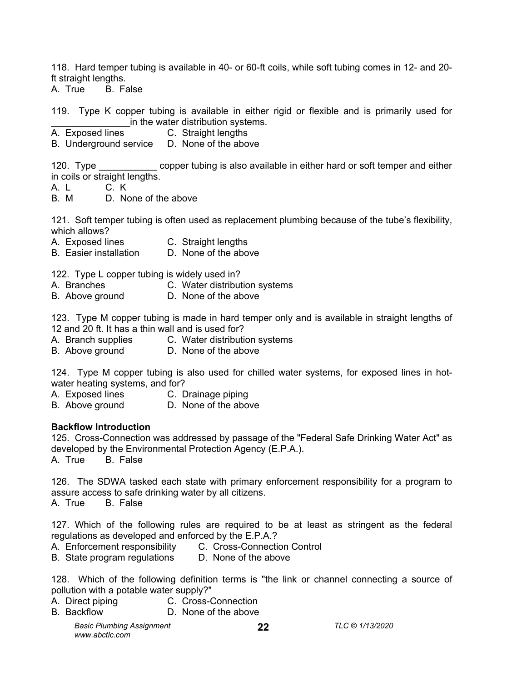118. Hard temper tubing is available in 40- or 60-ft coils, while soft tubing comes in 12- and 20 ft straight lengths.

A. True B. False

119. Type K copper tubing is available in either rigid or flexible and is primarily used for in the water distribution systems.

A. Exposed lines C. Straight lengths

B. Underground service D. None of the above

120. Type copper tubing is also available in either hard or soft temper and either in coils or straight lengths.

A. L C. K

B. M D. None of the above

121. Soft temper tubing is often used as replacement plumbing because of the tube's flexibility, which allows?

- A. Exposed lines C. Straight lengths<br>B. Easier installation D. None of the above
- B. Easier installation

122. Type L copper tubing is widely used in?

- A. Branches C. Water distribution systems
- B. Above ground D. None of the above

123. Type M copper tubing is made in hard temper only and is available in straight lengths of 12 and 20 ft. It has a thin wall and is used for?

- A. Branch supplies C. Water distribution systems
- B. Above ground D. None of the above

124. Type M copper tubing is also used for chilled water systems, for exposed lines in hotwater heating systems, and for?

- A. Exposed lines C. Drainage piping
- B. Above ground D. None of the above

#### **Backflow Introduction**

125. Cross-Connection was addressed by passage of the "Federal Safe Drinking Water Act" as developed by the Environmental Protection Agency (E.P.A.).

A. True B. False

126. The SDWA tasked each state with primary enforcement responsibility for a program to assure access to safe drinking water by all citizens.

A. True B. False

127. Which of the following rules are required to be at least as stringent as the federal regulations as developed and enforced by the E.P.A.?

- A. Enforcement responsibility C. Cross-Connection Control
- B. State program regulations D. None of the above

128. Which of the following definition terms is "the link or channel connecting a source of pollution with a potable water supply?"

**22**

- A. Direct piping C. Cross-Connection
- B. Backflow D. None of the above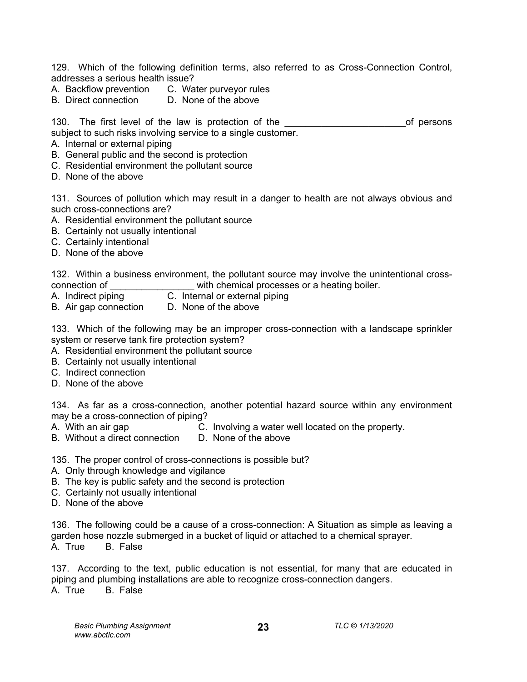129. Which of the following definition terms, also referred to as Cross-Connection Control, addresses a serious health issue?

- A. Backflow prevention C. Water purveyor rules<br>B. Direct connection D. None of the above
- B. Direct connection

130. The first level of the law is protection of the the the second of persons subject to such risks involving service to a single customer.

- A. Internal or external piping
- B. General public and the second is protection
- C. Residential environment the pollutant source
- D. None of the above

131. Sources of pollution which may result in a danger to health are not always obvious and such cross-connections are?

- A. Residential environment the pollutant source
- B. Certainly not usually intentional
- C. Certainly intentional
- D. None of the above

132. Within a business environment, the pollutant source may involve the unintentional crossconnection of **Exercise** with chemical processes or a heating boiler.

- A. Indirect piping C. Internal or external piping
- B. Air gap connection D. None of the above

133. Which of the following may be an improper cross-connection with a landscape sprinkler system or reserve tank fire protection system?

- A. Residential environment the pollutant source
- B. Certainly not usually intentional
- C. Indirect connection
- D. None of the above

134. As far as a cross-connection, another potential hazard source within any environment may be a cross-connection of piping?<br>A. With an air gap

- 
- C. Involving a water well located on the property.<br>D. None of the above B. Without a direct connection

135. The proper control of cross-connections is possible but?

- A. Only through knowledge and vigilance
- B. The key is public safety and the second is protection
- C. Certainly not usually intentional
- D. None of the above

136. The following could be a cause of a cross-connection: A Situation as simple as leaving a garden hose nozzle submerged in a bucket of liquid or attached to a chemical sprayer.<br>A. True B. False **B.** False

137. According to the text, public education is not essential, for many that are educated in piping and plumbing installations are able to recognize cross-connection dangers. A. True B. False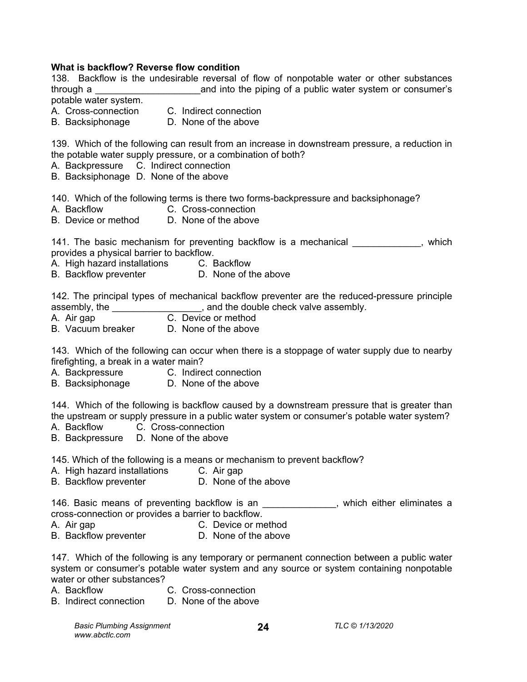#### **What is backflow? Reverse flow condition**

138. Backflow is the undesirable reversal of flow of nonpotable water or other substances through a \_\_\_\_\_\_\_\_\_\_\_\_\_\_\_\_\_\_\_\_and into the piping of a public water system or consumer's potable water system.

A. Cross-connection C. Indirect connection

B. Backsiphonage D. None of the above

139. Which of the following can result from an increase in downstream pressure, a reduction in the potable water supply pressure, or a combination of both?

A. Backpressure C. Indirect connection

B. Backsiphonage D. None of the above

140. Which of the following terms is there two forms-backpressure and backsiphonage?

- A. Backflow C. Cross-connection
- B. Device or method D. None of the above

141. The basic mechanism for preventing backflow is a mechanical example in the system of the proof. provides a physical barrier to backflow.

- A. High hazard installations C. Backflow
- B. Backflow preventer **D.** None of the above

142. The principal types of mechanical backflow preventer are the reduced-pressure principle assembly, the \_\_\_\_\_\_\_\_\_\_\_\_\_\_\_\_\_\_, and the double check valve assembly.

- A. Air gap C. Device or method
- B. Vacuum breaker D. None of the above

143. Which of the following can occur when there is a stoppage of water supply due to nearby firefighting, a break in a water main?

- A. Backpressure C. Indirect connection
- B. Backsiphonage D. None of the above

144. Which of the following is backflow caused by a downstream pressure that is greater than the upstream or supply pressure in a public water system or consumer's potable water system?

- A. Backflow C. Cross-connection
- B. Backpressure D. None of the above

145. Which of the following is a means or mechanism to prevent backflow?

- A. High hazard installations C. Air gap
- B. Backflow preventer **D.** None of the above

146. Basic means of preventing backflow is an example the sum which either eliminates a cross-connection or provides a barrier to backflow.

- A. Air gap C. Device or method
- B. Backflow preventer **D.** None of the above

147. Which of the following is any temporary or permanent connection between a public water system or consumer's potable water system and any source or system containing nonpotable water or other substances?

- A. Backflow C. Cross-connection
- B. Indirect connection D. None of the above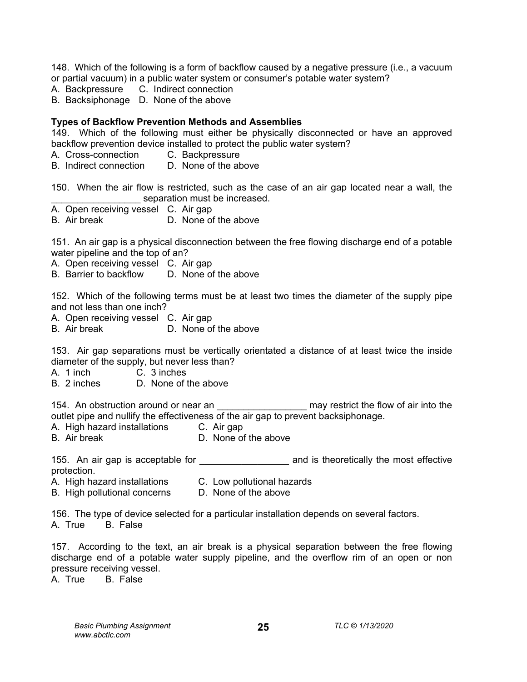148. Which of the following is a form of backflow caused by a negative pressure (i.e., a vacuum or partial vacuum) in a public water system or consumer's potable water system?

- A. Backpressure C. Indirect connection
- B. Backsiphonage D. None of the above

## **Types of Backflow Prevention Methods and Assemblies**

149. Which of the following must either be physically disconnected or have an approved backflow prevention device installed to protect the public water system?

- A. Cross-connection C. Backpressure
- B. Indirect connection D. None of the above

150. When the air flow is restricted, such as the case of an air gap located near a wall, the separation must be increased.

- A. Open receiving vessel C. Air gap
- B. Air break D. None of the above

151. An air gap is a physical disconnection between the free flowing discharge end of a potable water pipeline and the top of an?

A. Open receiving vessel C. Air gap

B. Barrier to backflow D. None of the above

152. Which of the following terms must be at least two times the diameter of the supply pipe and not less than one inch?

A. Open receiving vessel C. Air gap

B. Air break D. None of the above

153. Air gap separations must be vertically orientated a distance of at least twice the inside diameter of the supply, but never less than?

A. 1 inch C. 3 inches

B. 2 inches D. None of the above

154. An obstruction around or near an \_\_\_\_\_\_\_\_\_\_\_\_\_\_\_\_\_ may restrict the flow of air into the outlet pipe and nullify the effectiveness of the air gap to prevent backsiphonage.

- A. High hazard installations C. Air gap<br>B. Air break C. D. None of
- D. None of the above

155. An air gap is acceptable for **the annual and is theoretically the most effective** protection.

- A. High hazard installations C. Low pollutional hazards
- B. High pollutional concerns D. None of the above

156. The type of device selected for a particular installation depends on several factors. A. True B. False

157. According to the text, an air break is a physical separation between the free flowing discharge end of a potable water supply pipeline, and the overflow rim of an open or non pressure receiving vessel.

**25**

A. True B. False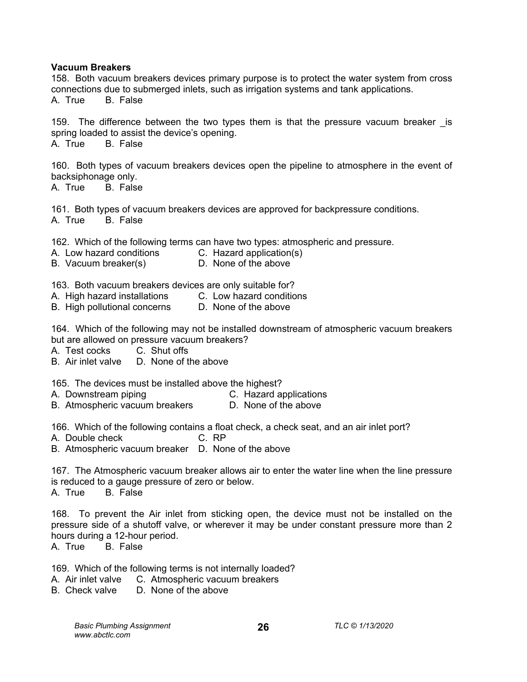#### **Vacuum Breakers**

158. Both vacuum breakers devices primary purpose is to protect the water system from cross connections due to submerged inlets, such as irrigation systems and tank applications. A. True B. False

159. The difference between the two types them is that the pressure vacuum breaker is spring loaded to assist the device's opening.

A. True B. False

160. Both types of vacuum breakers devices open the pipeline to atmosphere in the event of backsiphonage only.

A. True B. False

161. Both types of vacuum breakers devices are approved for backpressure conditions. A. True B. False

162. Which of the following terms can have two types: atmospheric and pressure.

- A. Low hazard conditions C. Hazard application(s)<br>B. Vacuum breaker(s) C. None of the above
- B. Vacuum breaker(s)

163. Both vacuum breakers devices are only suitable for?

- A. High hazard installations C. Low hazard conditions
- B. High pollutional concerns D. None of the above

164. Which of the following may not be installed downstream of atmospheric vacuum breakers but are allowed on pressure vacuum breakers?

- A. Test cocks C. Shut offs
- B. Air inlet valve D. None of the above

165. The devices must be installed above the highest?

- A. Downstream piping C. Hazard applications
- B. Atmospheric vacuum breakers

166. Which of the following contains a float check, a check seat, and an air inlet port?

A. Double check C. RP

B. Atmospheric vacuum breaker D. None of the above

167. The Atmospheric vacuum breaker allows air to enter the water line when the line pressure is reduced to a gauge pressure of zero or below. A. True B. False

168. To prevent the Air inlet from sticking open, the device must not be installed on the pressure side of a shutoff valve, or wherever it may be under constant pressure more than 2 hours during a 12-hour period.

A. True B. False

169. Which of the following terms is not internally loaded?

- A. Air inlet valve C. Atmospheric vacuum breakers
- B. Check valve D. None of the above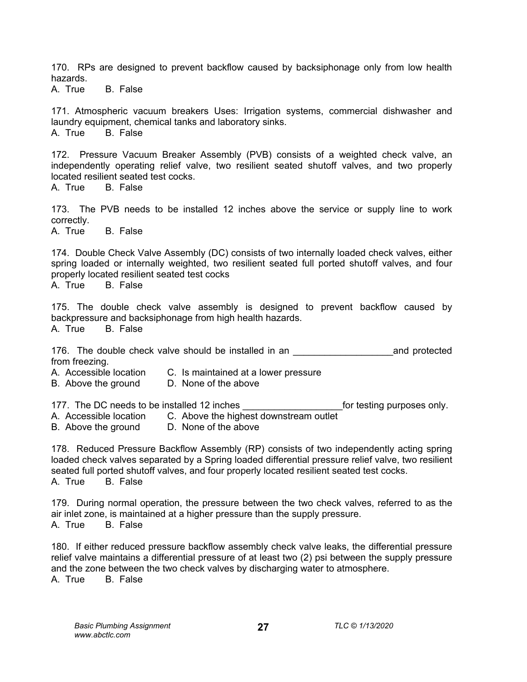170. RPs are designed to prevent backflow caused by backsiphonage only from low health hazards.

A. True B. False

171. Atmospheric vacuum breakers Uses: Irrigation systems, commercial dishwasher and laundry equipment, chemical tanks and laboratory sinks. A. True B. False

172. Pressure Vacuum Breaker Assembly (PVB) consists of a weighted check valve, an independently operating relief valve, two resilient seated shutoff valves, and two properly located resilient seated test cocks.

A. True B. False

173. The PVB needs to be installed 12 inches above the service or supply line to work correctly.

A. True B. False

174. Double Check Valve Assembly (DC) consists of two internally loaded check valves, either spring loaded or internally weighted, two resilient seated full ported shutoff valves, and four properly located resilient seated test cocks

A. True B. False

175. The double check valve assembly is designed to prevent backflow caused by backpressure and backsiphonage from high health hazards. A. True B. False

176. The double check valve should be installed in an \_\_\_\_\_\_\_\_\_\_\_\_\_\_\_\_\_\_\_and protected from freezing.

A. Accessible location C. Is maintained at a lower pressure

B. Above the ground D. None of the above

177. The DC needs to be installed 12 inches **the end-of inclusive only.** 

- A. Accessible location C. Above the highest downstream outlet<br>B. Above the ground D. None of the above
- B. Above the ground

178. Reduced Pressure Backflow Assembly (RP) consists of two independently acting spring loaded check valves separated by a Spring loaded differential pressure relief valve, two resilient seated full ported shutoff valves, and four properly located resilient seated test cocks. A. True B. False

179. During normal operation, the pressure between the two check valves, referred to as the air inlet zone, is maintained at a higher pressure than the supply pressure. A. True B. False

180. If either reduced pressure backflow assembly check valve leaks, the differential pressure relief valve maintains a differential pressure of at least two (2) psi between the supply pressure and the zone between the two check valves by discharging water to atmosphere.<br>A. True B. False B. False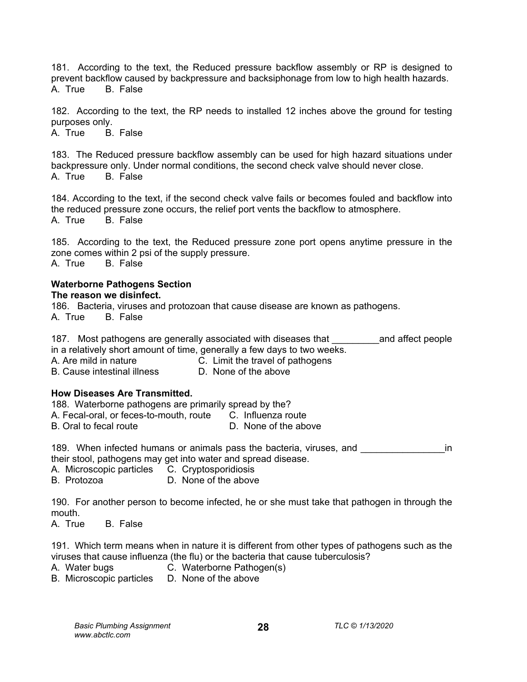181. According to the text, the Reduced pressure backflow assembly or RP is designed to prevent backflow caused by backpressure and backsiphonage from low to high health hazards. A. True B. False

182. According to the text, the RP needs to installed 12 inches above the ground for testing purposes only.

A. True B. False

183. The Reduced pressure backflow assembly can be used for high hazard situations under backpressure only. Under normal conditions, the second check valve should never close.<br>A True B False A. True

184. According to the text, if the second check valve fails or becomes fouled and backflow into the reduced pressure zone occurs, the relief port vents the backflow to atmosphere. A. True B. False

185. According to the text, the Reduced pressure zone port opens anytime pressure in the zone comes within 2 psi of the supply pressure. A. True B. False

#### **Waterborne Pathogens Section The reason we disinfect.**

186. Bacteria, viruses and protozoan that cause disease are known as pathogens.

A. True B. False

187. Most pathogens are generally associated with diseases that Tand affect people in a relatively short amount of time, generally a few days to two weeks.

A. Are mild in nature **C.** Limit the travel of pathogens

B. Cause intestinal illness D. None of the above

## **How Diseases Are Transmitted.**

188. Waterborne pathogens are primarily spread by the?

A. Fecal-oral, or feces-to-mouth, route C. Influenza route

B. Oral to fecal route D. None of the above

189. When infected humans or animals pass the bacteria, viruses, and **Theoret Connect** in their stool, pathogens may get into water and spread disease.

A. Microscopic particles C. Cryptosporidiosis

B. Protozoa D. None of the above

190. For another person to become infected, he or she must take that pathogen in through the mouth.

A. True B. False

191. Which term means when in nature it is different from other types of pathogens such as the viruses that cause influenza (the flu) or the bacteria that cause tuberculosis?

- A. Water bugs C. Waterborne Pathogen(s)
- B. Microscopic particles D. None of the above